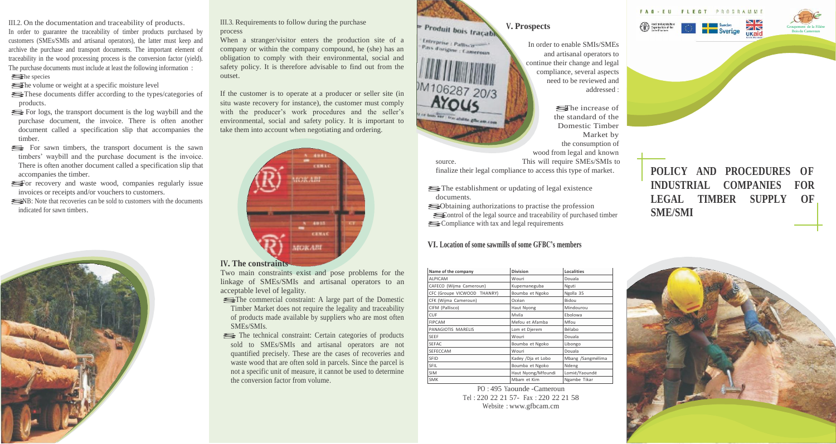III.2. On the documentation and traceability of products. In order to guarantee the traceability of timber products purchased by customers (SMEs/SMIs and artisanal operators), the latter must keep and archive the purchase and transport documents. The important element of traceability in the wood processing process is the conversion factor (yield). The purchase documents must include at least the following information : for the purchase do<br>The purchase do<br>The species The purchase documents must include at least the following<br>
The species<br>
The volume or weight at a specific moisture level<br>
These documents differ according to the type

- 
- File puchase documents must include at least the following information.<br>
The species<br>
These documents differ according to the types/categories of<br>
products products. <del>■ Fine</del> volume of weight at a specific most<br>are covered to the types/categories of<br>products.<br>Social For logs, the transport document is the log waybill and the<br>purchase document the invoice. There is often another
- purchase document, the invoice. There is often another document called a specification slip that accompanies the timber.
- § For sawn timbers, the transport document is the sawn timbers' waybill and the purchase document is the invoice. There is often another document called a specification slip that accompanies the timber. From the state way of the parameter of the model of the model of the accompanies the timber.<br>Sor recovery and waste wood, companies regularly issue<br>invoices or receipts and/or vouchers to customers
- invoices or receipts and/or vouchers to customers. § NB: Note that recoveries can be sold to customers with the documents
- indicated for sawn timbers.



III.3. Requirements to follow during the purchase process

When a stranger/visitor enters the production site of a company or within the company compound, he (she) has an obligation to comply with their environmental, social and safety policy. It is therefore advisable to find out from the outset.

If the customer is to operate at a producer or seller site (in situ waste recovery for instance), the customer must comply with the producer's work procedures and the seller's environmental, social and safety policy. It is important to take them into account when negotiating and ordering.



**IV. The constraints**

Two main constraints exist and pose problems for the linkage of SMEs/SMIs and artisanal operators to an acceptable level of legality.

- § The commercial constraint: A large part of the Domestic Timber Market does not require the legality and traceability of products made available by suppliers who are most often SMEs/SMIs.
- § The technical constraint: Certain categories of products sold to SMEs/SMIs and artisanal operators are not quantified precisely. These are the cases of recoveries and waste wood that are often sold in parcels. Since the parcel is not a specific unit of measure, it cannot be used to determine the conversion factor from volume.

Produit bois traçable **V. Prospects**

Entreprise : Pallisco Pays d'origine : Cameroun M<sub>106287</sub> 20/3

r ce bais sur l'imi abilite glieram.com

In order to enable SMIs/SMEs and artisanal operators to continue their change and legal compliance, several aspects need to be reviewed and addressed :

§The increase of the standard of the Domestic Timber Market by the consumption of wood from legal and known

source. This will require SMEs/SMIs to finalize their legal compliance to access this type of market.

§ The establishment or updating of legal existence documents.

§ Obtaining authorizations to practise the profession §Control of the legal source and traceability of purchased timber § Compliance with tax and legal requirements

# **VI. Location of some sawmills of some GFBC's members**

| Name of the company         | <b>Division</b>    | Localities        |
|-----------------------------|--------------------|-------------------|
| <b>ALPICAM</b>              | Wouri              | Douala            |
| CAFECO (Wijma Cameroun)     | Kupemaneguba       | Nguti             |
| CFC (Groupe VICWOOD THANRY) | Boumba et Ngoko    | Ngolla 35         |
| CFK (Wijma Cameroun)        | Océan              | Bidou             |
| CIFM (Pallisco)             | Haut Nyong         | Mindourou         |
| <b>CUF</b>                  | Mvila              | Ebolowa           |
| <b>FIPCAM</b>               | Mefou et Afamba    | Mfou              |
| PANAGIOTIS MARELIS          | Lom et Djerem      | Bélabo            |
| <b>SEEF</b>                 | Wouri              | Douala            |
| <b>SEFAC</b>                | Boumba et Ngoko    | Libongo           |
| SEFECCAM                    | Wouri              | Douala            |
| <b>SFID</b>                 | Kadey /Dja et Lobo | Mbang /Sangmélima |
| SFIL                        | Boumba et Ngoko    | Ndeng             |
| <b>SIM</b>                  | Haut Nyong/Mfoundi | Lomié/Yaoundé     |
| <b>SMK</b>                  | Mbam et Kim        | Ngambe Tikar      |

PO : 495 Yaounde -Cameroun Tel : 220 22 21 57- Fax : 220 22 21 58 Website : [www.gfbcam.cm](http://www.gfbcam.cm/)

# **POLICY AND PROCEDURES OF INDUSTRIAL COMPANIES FOR LEGAL TIMBER SUPPLY OF SME/SMI**





Food and Agriculture